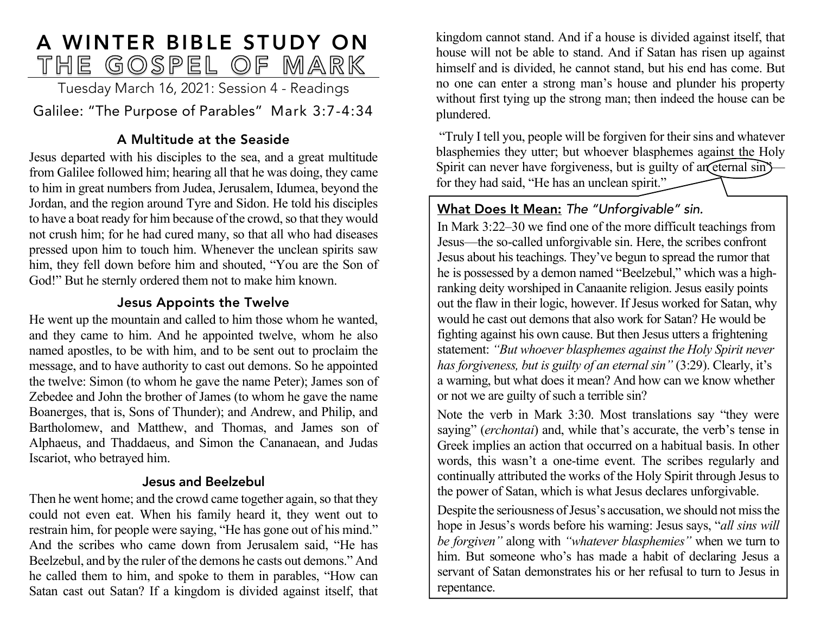# A WINTER BIBLE STUDY ON<br>THE GOSPEL OF MARK

Tuesday March 16, 2021: Session 4 - Readings Galilee: "The Purpose of Parables" Mark 3:7-4:34

#### A Multitude at the Seaside

Jesus departed with his disciples to the sea, and a great multitude from Galilee followed him; hearing all that he was doing, they came to him in great numbers from Judea, Jerusalem, Idumea, beyond the Jordan, and the region around Tyre and Sidon. He told his disciples to have a boat ready for him because of the crowd, so that they would not crush him; for he had cured many, so that all who had diseases pressed upon him to touch him. Whenever the unclean spirits saw him, they fell down before him and shouted, "You are the Son of God!" But he sternly ordered them not to make him known.

#### Jesus Appoints the Twelve

He went up the mountain and called to him those whom he wanted, and they came to him. And he appointed twelve, whom he also named apostles, to be with him, and to be sent out to proclaim the message, and to have authority to cast out demons. So he appointed the twelve: Simon (to whom he gave the name Peter); James son of Zebedee and John the brother of James (to whom he gave the name Boanerges, that is, Sons of Thunder); and Andrew, and Philip, and Bartholomew, and Matthew, and Thomas, and James son of Alphaeus, and Thaddaeus, and Simon the Cananaean, and Judas Iscariot, who betrayed him.

#### Jesus and Beelzebul

Then he went home; and the crowd came together again, so that they could not even eat. When his family heard it, they went out to restrain him, for people were saying, "He has gone out of his mind." And the scribes who came down from Jerusalem said, "He has Beelzebul, and by the ruler of the demons he casts out demons." And he called them to him, and spoke to them in parables, "How can Satan cast out Satan? If a kingdom is divided against itself, that kingdom cannot stand. And if a house is divided against itself, that house will not be able to stand. And if Satan has risen up against himself and is divided, he cannot stand, but his end has come. But no one can enter a strong man's house and plunder his property without first tying up the strong man; then indeed the house can be plundered.

"Truly I tell you, people will be forgiven for their sins and whatever blasphemies they utter; but whoever blasphemes against the Holy Spirit can never have forgiveness, but is guilty of an eternal  $\sin$ . for they had said, "He has an unclean spirit."

#### What Does It Mean: *The "Unforgivable" sin.*

In Mark 3:22–30 we find one of the more difficult teachings from Jesus—the so-called unforgivable sin. Here, the scribes confront Jesus about his teachings. They've begun to spread the rumor that he is possessed by a demon named "Beelzebul," which was a highranking deity worshiped in Canaanite religion. Jesus easily points out the flaw in their logic, however. If Jesus worked for Satan, why would he cast out demons that also work for Satan? He would be fighting against his own cause. But then Jesus utters a frightening statement: *"But whoever blasphemes against the Holy Spirit never has forgiveness, but is guilty of an eternal sin"* (3:29). Clearly, it's a warning, but what does it mean? And how can we know whether or not we are guilty of such a terrible sin?

Note the verb in Mark 3:30. Most translations say "they were saying" (*erchontai*) and, while that's accurate, the verb's tense in Greek implies an action that occurred on a habitual basis. In other words, this wasn't a one-time event. The scribes regularly and continually attributed the works of the Holy Spirit through Jesus to the power of Satan, which is what Jesus declares unforgivable.

Despite the seriousness of Jesus's accusation, we should not miss the hope in Jesus's words before his warning: Jesus says, "*all sins will be forgiven"* along with *"whatever blasphemies"* when we turn to him. But someone who's has made a habit of declaring Jesus a servant of Satan demonstrates his or her refusal to turn to Jesus in repentance.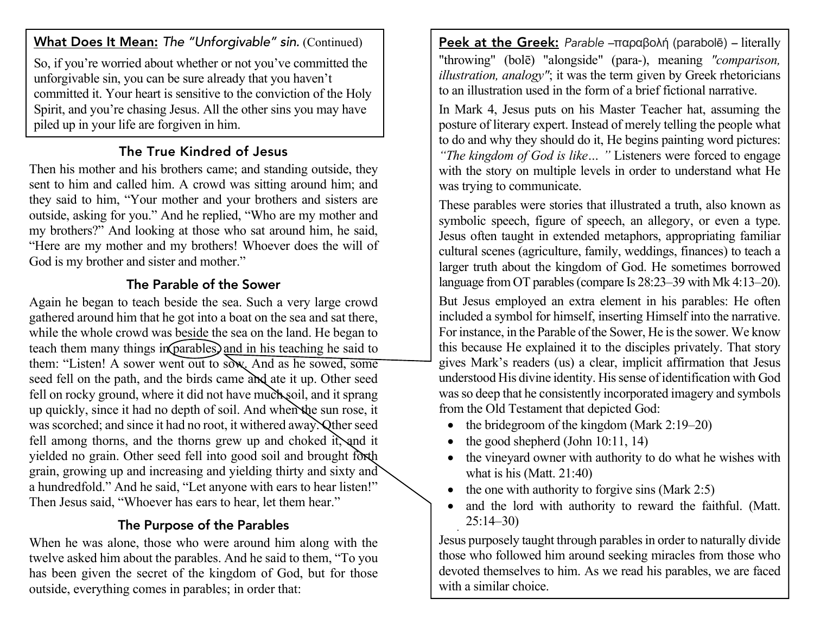#### What Does It Mean: *The "Unforgivable" sin.* (Continued)

So, if you're worried about whether or not you've committed the unforgivable sin, you can be sure already that you haven't committed it. Your heart is sensitive to the conviction of the Holy Spirit, and you're chasing Jesus. All the other sins you may have piled up in your life are forgiven in him.

#### The True Kindred of Jesus

Then his mother and his brothers came; and standing outside, they sent to him and called him. A crowd was sitting around him; and they said to him, "Your mother and your brothers and sisters are outside, asking for you." And he replied, "Who are my mother and my brothers?" And looking at those who sat around him, he said, "Here are my mother and my brothers! Whoever does the will of God is my brother and sister and mother."

#### The Parable of the Sower

Again he began to teach beside the sea. Such a very large crowd gathered around him that he got into a boat on the sea and sat there, while the whole crowd was beside the sea on the land. He began to teach them many things in parables) and in his teaching he said to them: "Listen! A sower went out to sow. And as he sowed, some seed fell on the path, and the birds came and ate it up. Other seed fell on rocky ground, where it did not have much soil, and it sprang up quickly, since it had no depth of soil. And when the sun rose, it was scorched; and since it had no root, it withered away. Other seed fell among thorns, and the thorns grew up and choked it, and it yielded no grain. Other seed fell into good soil and brought forth grain, growing up and increasing and yielding thirty and sixty and a hundredfold." And he said, "Let anyone with ears to hear listen!" Then Jesus said, "Whoever has ears to hear, let them hear."

#### The Purpose of the Parables

When he was alone, those who were around him along with the twelve asked him about the parables. And he said to them, "To you has been given the secret of the kingdom of God, but for those outside, everything comes in parables; in order that:

Peek at the Greek: *Parable –*παραβολή (parabolē) *–* literally "throwing" (bolē) "alongside" (para-), meaning *"comparison, illustration, analogy"*; it was the term given by Greek rhetoricians to an illustration used in the form of a brief fictional narrative.

In Mark 4, Jesus puts on his Master Teacher hat, assuming the posture of literary expert. Instead of merely telling the people what to do and why they should do it, He begins painting word pictures: *"The kingdom of God is like… "* Listeners were forced to engage with the story on multiple levels in order to understand what He was trying to communicate.

These parables were stories that illustrated a truth, also known as symbolic speech, figure of speech, an allegory, or even a type. Jesus often taught in extended metaphors, appropriating familiar cultural scenes (agriculture, family, weddings, finances) to teach a larger truth about the kingdom of God. He sometimes borrowed language from OT parables (compare Is 28:23–39 with Mk 4:13–20).

But Jesus employed an extra element in his parables: He often included a symbol for himself, inserting Himself into the narrative. For instance, in the Parable of the Sower, He is the sower. We know this because He explained it to the disciples privately. That story gives Mark's readers (us) a clear, implicit affirmation that Jesus understood His divine identity. His sense of identification with God was so deep that he consistently incorporated imagery and symbols from the Old Testament that depicted God:

- the bridegroom of the kingdom (Mark 2:19–20)
- the good shepherd (John 10:11, 14)

•

- the vineyard owner with authority to do what he wishes with what is his (Matt. 21:40)
- the one with authority to forgive sins (Mark 2:5)
- and the lord with authority to reward the faithful. (Matt. 25:14–30)

Jesus purposely taught through parables in order to naturally divide those who followed him around seeking miracles from those who devoted themselves to him. As we read his parables, we are faced with a similar choice.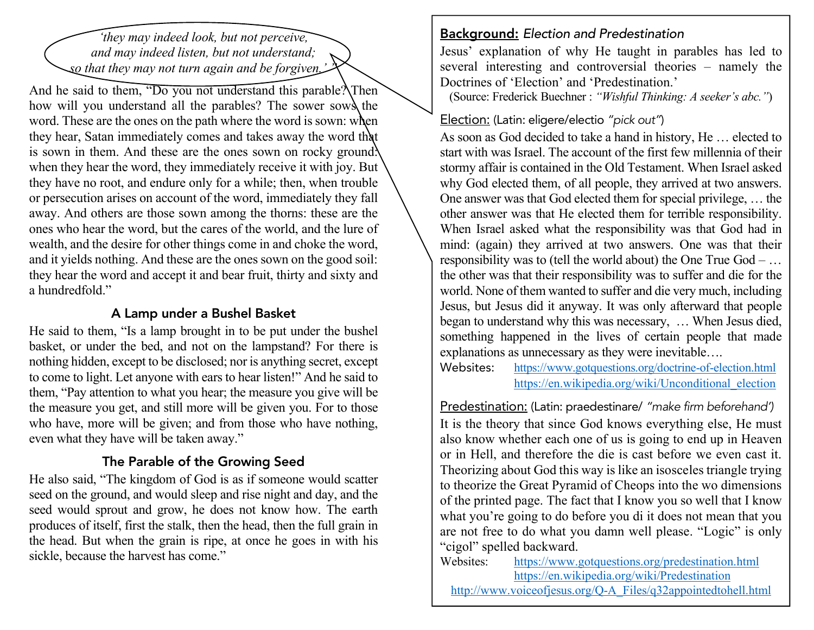*'they may indeed look, but not perceive, and may indeed listen, but not understand; so that they may not turn again and be forgiven.' "*

And he said to them, "Do you not understand this parable? Then how will you understand all the parables? The sower sows the word. These are the ones on the path where the word is sown: when they hear, Satan immediately comes and takes away the word that is sown in them. And these are the ones sown on rocky ground. when they hear the word, they immediately receive it with joy. But they have no root, and endure only for a while; then, when trouble or persecution arises on account of the word, immediately they fall away. And others are those sown among the thorns: these are the ones who hear the word, but the cares of the world, and the lure of wealth, and the desire for other things come in and choke the word, and it yields nothing. And these are the ones sown on the good soil: they hear the word and accept it and bear fruit, thirty and sixty and a hundredfold."

#### A Lamp under a Bushel Basket

He said to them, "Is a lamp brought in to be put under the bushel basket, or under the bed, and not on the lampstand? For there is nothing hidden, except to be disclosed; nor is anything secret, except to come to light. Let anyone with ears to hear listen!" And he said to them, "Pay attention to what you hear; the measure you give will be the measure you get, and still more will be given you. For to those who have, more will be given; and from those who have nothing, even what they have will be taken away."

#### The Parable of the Growing Seed

He also said, "The kingdom of God is as if someone would scatter seed on the ground, and would sleep and rise night and day, and the seed would sprout and grow, he does not know how. The earth produces of itself, first the stalk, then the head, then the full grain in the head. But when the grain is ripe, at once he goes in with his sickle, because the harvest has come."

#### Background: *Election and Predestination*

Jesus' explanation of why He taught in parables has led to several interesting and controversial theories – namely the Doctrines of 'Election' and 'Predestination.'

(Source: Frederick Buechner : *"Wishful Thinking: A seeker's abc."*)

#### Election: (Latin: eligere/electio *"pick out"*)

As soon as God decided to take a hand in history, He … elected to start with was Israel. The account of the first few millennia of their stormy affair is contained in the Old Testament. When Israel asked why God elected them, of all people, they arrived at two answers. One answer was that God elected them for special privilege, … the other answer was that He elected them for terrible responsibility. When Israel asked what the responsibility was that God had in mind: (again) they arrived at two answers. One was that their responsibility was to (tell the world about) the One True God – … the other was that their responsibility was to suffer and die for the world. None of them wanted to suffer and die very much, including Jesus, but Jesus did it anyway. It was only afterward that people began to understand why this was necessary, … When Jesus died, something happened in the lives of certain people that made explanations as unnecessary as they were inevitable….

Websites: https://www.gotquestions.org/doctrine-of-election.html https://en.wikipedia.org/wiki/Unconditional\_election

Predestination: (Latin: praedestinare/ *"make firm beforehand')* It is the theory that since God knows everything else, He must also know whether each one of us is going to end up in Heaven or in Hell, and therefore the die is cast before we even cast it. Theorizing about God this way is like an isosceles triangle trying to theorize the Great Pyramid of Cheops into the wo dimensions of the printed page. The fact that I know you so well that I know what you're going to do before you di it does not mean that you are not free to do what you damn well please. "Logic" is only "cigol" spelled backward.

Websites: https://www.gotquestions.org/predestination.html https://en.wikipedia.org/wiki/Predestination

http://www.voiceofjesus.org/Q-A\_Files/q32appointedtohell.html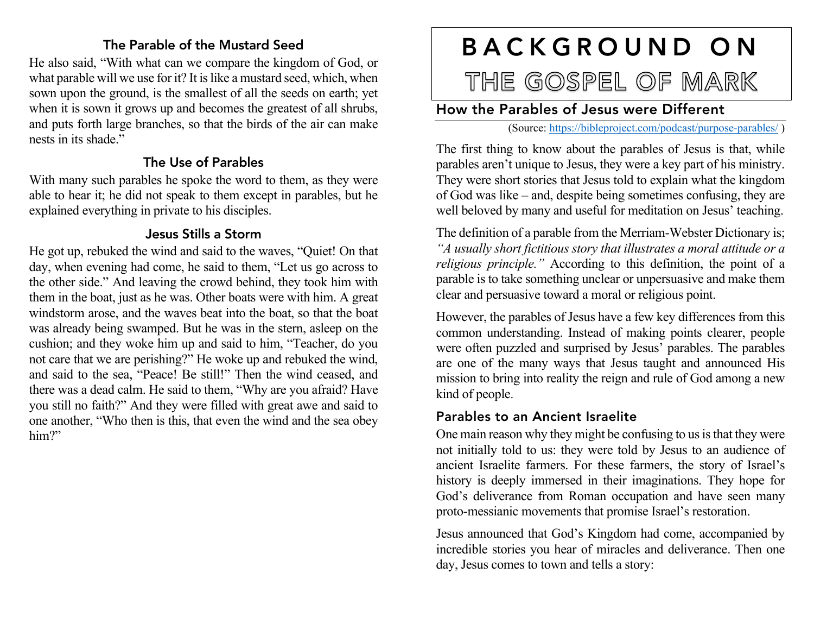He also said, "With what can we compare the kingdom of God, or what parable will we use for it? It is like a mustard seed, which, when sown upon the ground, is the smallest of all the seeds on earth; yet when it is sown it grows up and becomes the greatest of all shrubs, and puts forth large branches, so that the birds of the air can make nests in its shade."

#### The Use of Parables

With many such parables he spoke the word to them, as they were able to hear it; he did not speak to them except in parables, but he explained everything in private to his disciples.

#### Jesus Stills a Storm

He got up, rebuked the wind and said to the waves, "Quiet! On that day, when evening had come, he said to them, "Let us go across to the other side." And leaving the crowd behind, they took him with them in the boat, just as he was. Other boats were with him. A great windstorm arose, and the waves beat into the boat, so that the boat was already being swamped. But he was in the stern, asleep on the cushion; and they woke him up and said to him, "Teacher, do you not care that we are perishing?" He woke up and rebuked the wind, and said to the sea, "Peace! Be still!" Then the wind ceased, and there was a dead calm. He said to them, "Why are you afraid? Have you still no faith?" And they were filled with great awe and said to one another, "Who then is this, that even the wind and the sea obey him?"

## The Parable of the Mustard Seed **BACKGROUND ON** THE GOSPEL OF MARK

### How the Parables of Jesus were Different

(Source: https://bibleproject.com/podcast/purpose-parables/ )

The first thing to know about the parables of Jesus is that, while parables aren't unique to Jesus, they were a key part of his ministry. They were short stories that Jesus told to explain what the kingdom of God was like – and, despite being sometimes confusing, they are well beloved by many and useful for meditation on Jesus' teaching.

The definition of a parable from the Merriam-Webster Dictionary is; *"A usually short fictitious story that illustrates a moral attitude or a religious principle."* According to this definition, the point of a parable is to take something unclear or unpersuasive and make them clear and persuasive toward a moral or religious point.

However, the parables of Jesus have a few key differences from this common understanding. Instead of making points clearer, people were often puzzled and surprised by Jesus' parables. The parables are one of the many ways that Jesus taught and announced His mission to bring into reality the reign and rule of God among a new kind of people.

#### Parables to an Ancient Israelite

One main reason why they might be confusing to us is that they were not initially told to us: they were told by Jesus to an audience of ancient Israelite farmers. For these farmers, the story of Israel's history is deeply immersed in their imaginations. They hope for God's deliverance from Roman occupation and have seen many proto-messianic movements that promise Israel's restoration.

Jesus announced that God's Kingdom had come, accompanied by incredible stories you hear of miracles and deliverance. Then one day, Jesus comes to town and tells a story: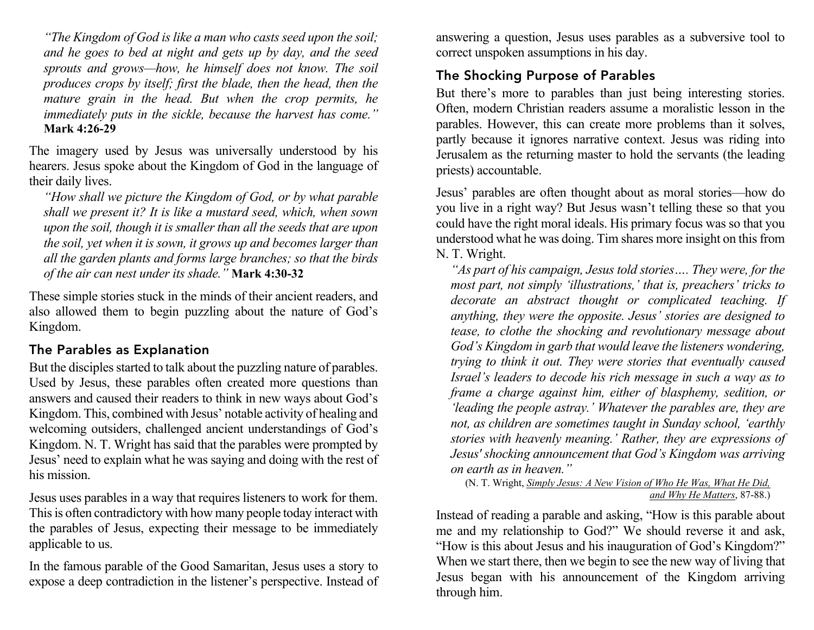*"The Kingdom of God is like a man who casts seed upon the soil; and he goes to bed at night and gets up by day, and the seed sprouts and grows—how, he himself does not know. The soil produces crops by itself; first the blade, then the head, then the mature grain in the head. But when the crop permits, he immediately puts in the sickle, because the harvest has come."* **Mark 4:26-29**

The imagery used by Jesus was universally understood by his hearers. Jesus spoke about the Kingdom of God in the language of their daily lives.

*"How shall we picture the Kingdom of God, or by what parable shall we present it? It is like a mustard seed, which, when sown upon the soil, though it is smaller than all the seeds that are upon the soil, yet when it is sown, it grows up and becomes larger than all the garden plants and forms large branches; so that the birds of the air can nest under its shade."* **Mark 4:30-32**

These simple stories stuck in the minds of their ancient readers, and also allowed them to begin puzzling about the nature of God's Kingdom.

#### The Parables as Explanation

But the disciples started to talk about the puzzling nature of parables. Used by Jesus, these parables often created more questions than answers and caused their readers to think in new ways about God's Kingdom. This, combined with Jesus' notable activity of healing and welcoming outsiders, challenged ancient understandings of God's Kingdom. N. T. Wright has said that the parables were prompted by Jesus' need to explain what he was saying and doing with the rest of his mission.

Jesus uses parables in a way that requires listeners to work for them. This is often contradictory with how many people today interact with the parables of Jesus, expecting their message to be immediately applicable to us.

In the famous parable of the Good Samaritan, Jesus uses a story to expose a deep contradiction in the listener's perspective. Instead of answering a question, Jesus uses parables as a subversive tool to correct unspoken assumptions in his day.

#### The Shocking Purpose of Parables

But there's more to parables than just being interesting stories. Often, modern Christian readers assume a moralistic lesson in the parables. However, this can create more problems than it solves, partly because it ignores narrative context. Jesus was riding into Jerusalem as the returning master to hold the servants (the leading priests) accountable.

Jesus' parables are often thought about as moral stories—how do you live in a right way? But Jesus wasn't telling these so that you could have the right moral ideals. His primary focus was so that you understood what he was doing. Tim shares more insight on this from N. T. Wright.

*"As part of his campaign, Jesus told stories…. They were, for the most part, not simply 'illustrations,' that is, preachers' tricks to decorate an abstract thought or complicated teaching. If anything, they were the opposite. Jesus' stories are designed to tease, to clothe the shocking and revolutionary message about God's Kingdom in garb that would leave the listeners wondering, trying to think it out. They were stories that eventually caused Israel's leaders to decode his rich message in such a way as to frame a charge against him, either of blasphemy, sedition, or 'leading the people astray.' Whatever the parables are, they are not, as children are sometimes taught in Sunday school, 'earthly stories with heavenly meaning.' Rather, they are expressions of Jesus' shocking announcement that God's Kingdom was arriving on earth as in heaven."*

(N. T. Wright, *Simply Jesus: A New Vision of Who He Was, What He Did, and Why He Matters*, 87-88.)

Instead of reading a parable and asking, "How is this parable about me and my relationship to God?" We should reverse it and ask, "How is this about Jesus and his inauguration of God's Kingdom?" When we start there, then we begin to see the new way of living that Jesus began with his announcement of the Kingdom arriving through him.